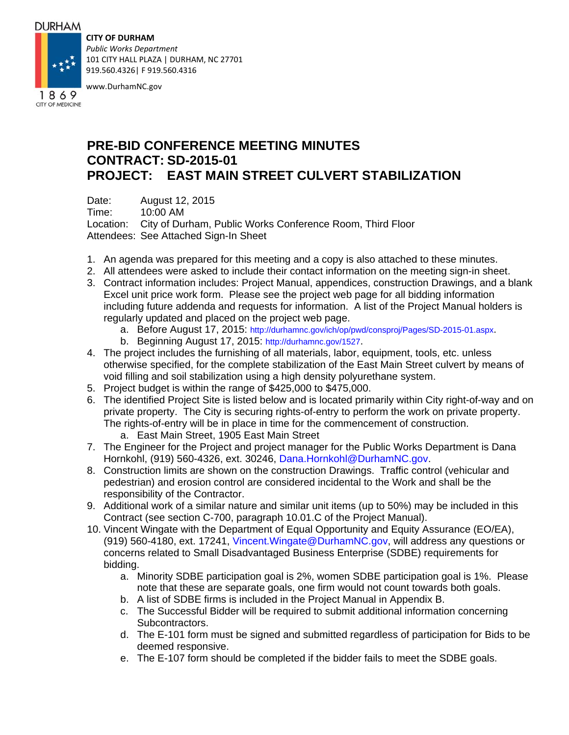#### **DURHAM**

**CITY OF DURHAM**

*Public Works Department* 101 CITY HALL PLAZA | DURHAM, NC 27701 919.560.4326| F 919.560.4316



www.DurhamNC.gov

## CITY OF MEDICINE

### **PRE-BID CONFERENCE MEETING MINUTES CONTRACT: SD-2015-01 PROJECT: EAST MAIN STREET CULVERT STABILIZATION**

Date: August 12, 2015

Time: 10:00 AM

Location: City of Durham, Public Works Conference Room, Third Floor Attendees: See Attached Sign-In Sheet

- 1. An agenda was prepared for this meeting and a copy is also attached to these minutes.
- 2. All attendees were asked to include their contact information on the meeting sign-in sheet.
- 3. Contract information includes: Project Manual, appendices, construction Drawings, and a blank Excel unit price work form. Please see the project web page for all bidding information including future addenda and requests for information. A list of the Project Manual holders is regularly updated and placed on the project web page.
	- a. Before August 17, 2015: http://durhamnc.gov/ich/op/pwd/consproj/Pages/SD-2015-01.aspx.
	- b. Beginning August 17, 2015: http://durhamnc.gov/1527.
- 4. The project includes the furnishing of all materials, labor, equipment, tools, etc. unless otherwise specified, for the complete stabilization of the East Main Street culvert by means of void filling and soil stabilization using a high density polyurethane system.
- 5. Project budget is within the range of \$425,000 to \$475,000.
- 6. The identified Project Site is listed below and is located primarily within City right-of-way and on private property. The City is securing rights-of-entry to perform the work on private property. The rights-of-entry will be in place in time for the commencement of construction. a. East Main Street, 1905 East Main Street
- 7. The Engineer for the Project and project manager for the Public Works Department is Dana Hornkohl, (919) 560-4326, ext. 30246, Dana.Hornkohl@DurhamNC.gov.
- 8. Construction limits are shown on the construction Drawings. Traffic control (vehicular and pedestrian) and erosion control are considered incidental to the Work and shall be the responsibility of the Contractor.
- 9. Additional work of a similar nature and similar unit items (up to 50%) may be included in this Contract (see section C-700, paragraph 10.01.C of the Project Manual).
- 10. Vincent Wingate with the Department of Equal Opportunity and Equity Assurance (EO/EA), (919) 560-4180, ext. 17241, Vincent.Wingate@DurhamNC.gov, will address any questions or concerns related to Small Disadvantaged Business Enterprise (SDBE) requirements for bidding.
	- a. Minority SDBE participation goal is 2%, women SDBE participation goal is 1%. Please note that these are separate goals, one firm would not count towards both goals.
	- b. A list of SDBE firms is included in the Project Manual in Appendix B.
	- c. The Successful Bidder will be required to submit additional information concerning Subcontractors.
	- d. The E-101 form must be signed and submitted regardless of participation for Bids to be deemed responsive.
	- e. The E-107 form should be completed if the bidder fails to meet the SDBE goals.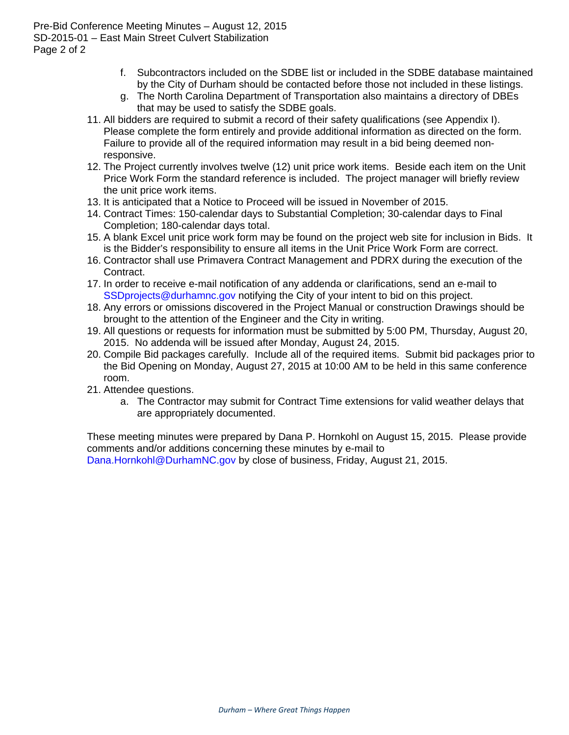Pre-Bid Conference Meeting Minutes – August 12, 2015 SD-2015-01 – East Main Street Culvert Stabilization Page 2 of 2

- f. Subcontractors included on the SDBE list or included in the SDBE database maintained by the City of Durham should be contacted before those not included in these listings.
- g. The North Carolina Department of Transportation also maintains a directory of DBEs that may be used to satisfy the SDBE goals.
- 11. All bidders are required to submit a record of their safety qualifications (see Appendix I). Please complete the form entirely and provide additional information as directed on the form. Failure to provide all of the required information may result in a bid being deemed nonresponsive.
- 12. The Project currently involves twelve (12) unit price work items. Beside each item on the Unit Price Work Form the standard reference is included. The project manager will briefly review the unit price work items.
- 13. It is anticipated that a Notice to Proceed will be issued in November of 2015.
- 14. Contract Times: 150-calendar days to Substantial Completion; 30-calendar days to Final Completion; 180-calendar days total.
- 15. A blank Excel unit price work form may be found on the project web site for inclusion in Bids. It is the Bidder's responsibility to ensure all items in the Unit Price Work Form are correct.
- 16. Contractor shall use Primavera Contract Management and PDRX during the execution of the Contract.
- 17. In order to receive e-mail notification of any addenda or clarifications, send an e-mail to SSD projects @ durhamnc.gov notifying the City of your intent to bid on this project.
- 18. Any errors or omissions discovered in the Project Manual or construction Drawings should be brought to the attention of the Engineer and the City in writing.
- 19. All questions or requests for information must be submitted by 5:00 PM, Thursday, August 20, 2015. No addenda will be issued after Monday, August 24, 2015.
- 20. Compile Bid packages carefully. Include all of the required items. Submit bid packages prior to the Bid Opening on Monday, August 27, 2015 at 10:00 AM to be held in this same conference room.
- 21. Attendee questions.
	- a. The Contractor may submit for Contract Time extensions for valid weather delays that are appropriately documented.

These meeting minutes were prepared by Dana P. Hornkohl on August 15, 2015. Please provide comments and/or additions concerning these minutes by e-mail to Dana.Hornkohl@DurhamNC.gov by close of business, Friday, August 21, 2015.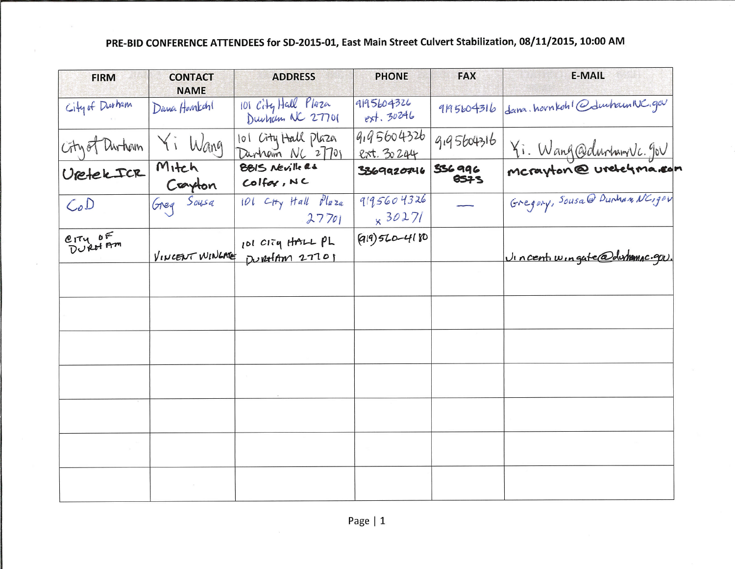| <b>FIRM</b>       | <b>CONTACT</b><br><b>NAME</b> | <b>ADDRESS</b>                         | <b>PHONE</b>                 | <b>FAX</b>     | <b>E-MAIL</b>                 |
|-------------------|-------------------------------|----------------------------------------|------------------------------|----------------|-------------------------------|
| City of Durham    | Dana Hovakan                  | 101 City Hall Plaza                    | 9195604326<br>$ext.$ 30246   | 9195604316     | dam. hovnkoh! @duuham NC.gov  |
| City of Durham    | Yi Wang                       | 101 City Hall Plaza<br>Dunham NC 27701 | 9,95604326<br>ext. 30244     | 9,95604316     | Yi. Wang@durhamvlc.gov        |
| VietekICR         | Mitch<br>Crayton              | BBIS Neville as<br>Colfor, NC          | 3369920746                   | 536996<br>8575 |                               |
| CoD               | Greg Sousa                    | 101 Ctty Hall Pluza<br>27701           | 9195604326<br>$\times$ 30271 |                | Gregory, Sousa@ Dunham NC190V |
| CITY OF<br>DURHAM | VINCENT WINGNE                | 101 CITY HALL PL<br>Durathm 27701      | (919) 560-4180               |                | Vincentiwingate@dwhamac.qu.   |
|                   |                               |                                        |                              |                |                               |
|                   |                               |                                        |                              |                |                               |
|                   |                               |                                        |                              |                |                               |
|                   |                               |                                        |                              |                |                               |
|                   |                               |                                        |                              |                |                               |
|                   |                               |                                        |                              |                |                               |
|                   |                               |                                        |                              |                |                               |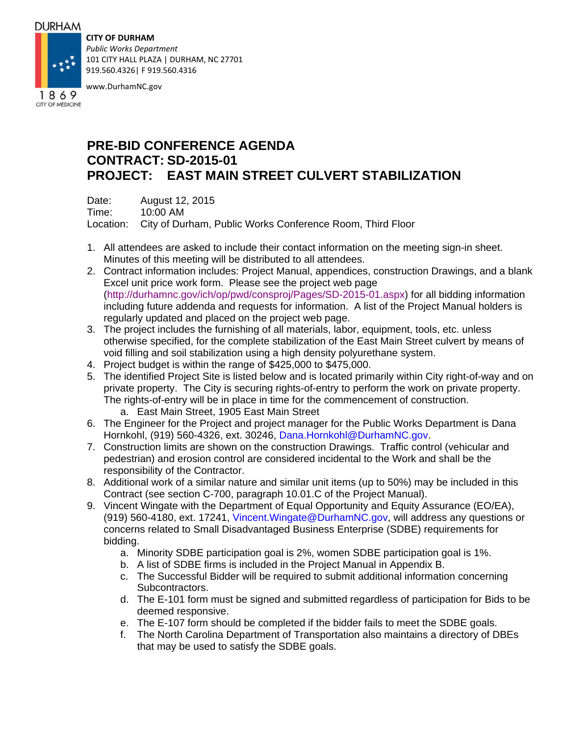#### **DURHAM**

**CITY OF DURHAM**

*Public Works Department* 101 CITY HALL PLAZA | DURHAM, NC 27701 919.560.4326| F 919.560.4316



www.DurhamNC.gov

### CITY OF MEDICINE

# **PRE-BID CONFERENCE AGENDA CONTRACT: SD-2015-01 PROJECT: EAST MAIN STREET CULVERT STABILIZATION**

Date: August 12, 2015

Time: 10:00 AM

Location: City of Durham, Public Works Conference Room, Third Floor

- 1. All attendees are asked to include their contact information on the meeting sign-in sheet. Minutes of this meeting will be distributed to all attendees.
- 2. Contract information includes: Project Manual, appendices, construction Drawings, and a blank Excel unit price work form. Please see the project web page (http://durhamnc.gov/ich/op/pwd/consproj/Pages/SD-2015-01.aspx) for all bidding information including future addenda and requests for information. A list of the Project Manual holders is regularly updated and placed on the project web page.
- 3. The project includes the furnishing of all materials, labor, equipment, tools, etc. unless otherwise specified, for the complete stabilization of the East Main Street culvert by means of void filling and soil stabilization using a high density polyurethane system.
- 4. Project budget is within the range of \$425,000 to \$475,000.
- 5. The identified Project Site is listed below and is located primarily within City right-of-way and on private property. The City is securing rights-of-entry to perform the work on private property. The rights-of-entry will be in place in time for the commencement of construction. a. East Main Street, 1905 East Main Street
- 6. The Engineer for the Project and project manager for the Public Works Department is Dana Hornkohl, (919) 560-4326, ext. 30246, Dana.Hornkohl@DurhamNC.gov.
- 7. Construction limits are shown on the construction Drawings. Traffic control (vehicular and pedestrian) and erosion control are considered incidental to the Work and shall be the responsibility of the Contractor.
- 8. Additional work of a similar nature and similar unit items (up to 50%) may be included in this Contract (see section C-700, paragraph 10.01.C of the Project Manual).
- 9. Vincent Wingate with the Department of Equal Opportunity and Equity Assurance (EO/EA), (919) 560-4180, ext. 17241, Vincent.Wingate@DurhamNC.gov, will address any questions or concerns related to Small Disadvantaged Business Enterprise (SDBE) requirements for bidding.
	- a. Minority SDBE participation goal is 2%, women SDBE participation goal is 1%.
	- b. A list of SDBE firms is included in the Project Manual in Appendix B.
	- c. The Successful Bidder will be required to submit additional information concerning Subcontractors.
	- d. The E-101 form must be signed and submitted regardless of participation for Bids to be deemed responsive.
	- e. The E-107 form should be completed if the bidder fails to meet the SDBE goals.
	- f. The North Carolina Department of Transportation also maintains a directory of DBEs that may be used to satisfy the SDBE goals.